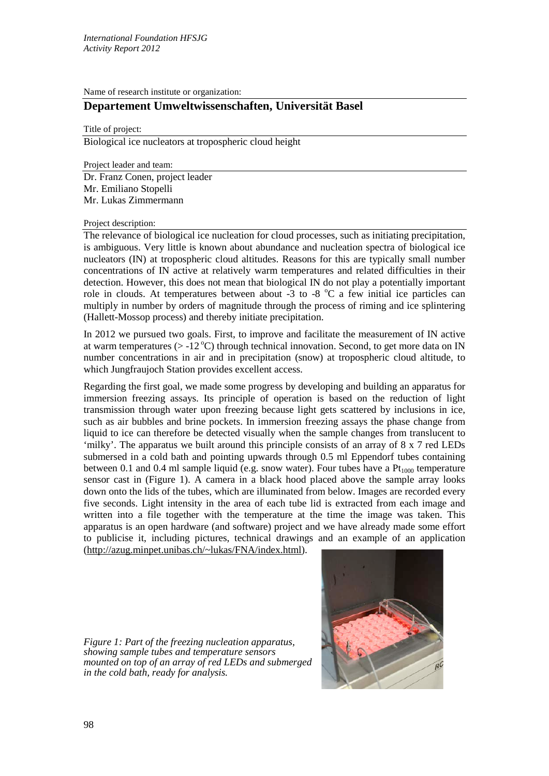Name of research institute or organization:

## **Departement Umweltwissenschaften, Universität Basel**

Title of project:

Biological ice nucleators at tropospheric cloud height

Project leader and team:

Dr. Franz Conen, project leader Mr. Emiliano Stopelli Mr. Lukas Zimmermann

Project description:

The relevance of biological ice nucleation for cloud processes, such as initiating precipitation, is ambiguous. Very little is known about abundance and nucleation spectra of biological ice nucleators (IN) at tropospheric cloud altitudes. Reasons for this are typically small number concentrations of IN active at relatively warm temperatures and related difficulties in their detection. However, this does not mean that biological IN do not play a potentially important role in clouds. At temperatures between about -3 to -8  $^{\circ}$ C a few initial ice particles can multiply in number by orders of magnitude through the process of riming and ice splintering (Hallett-Mossop process) and thereby initiate precipitation.

In 2012 we pursued two goals. First, to improve and facilitate the measurement of IN active at warm temperatures ( $>$  -12 °C) through technical innovation. Second, to get more data on IN number concentrations in air and in precipitation (snow) at tropospheric cloud altitude, to which Jungfraujoch Station provides excellent access.

Regarding the first goal, we made some progress by developing and building an apparatus for immersion freezing assays. Its principle of operation is based on the reduction of light transmission through water upon freezing because light gets scattered by inclusions in ice, such as air bubbles and brine pockets. In immersion freezing assays the phase change from liquid to ice can therefore be detected visually when the sample changes from translucent to 'milky'. The apparatus we built around this principle consists of an array of 8 x 7 red LEDs submersed in a cold bath and pointing upwards through 0.5 ml Eppendorf tubes containing between 0.1 and 0.4 ml sample liquid (e.g. snow water). Four tubes have a  $Pt<sub>1000</sub>$  temperature sensor cast in (Figure 1). A camera in a black hood placed above the sample array looks down onto the lids of the tubes, which are illuminated from below. Images are recorded every five seconds. Light intensity in the area of each tube lid is extracted from each image and written into a file together with the temperature at the time the image was taken. This apparatus is an open hardware (and software) project and we have already made some effort to publicise it, including pictures, technical drawings and an example of an application [\(http://azug.minpet.unibas.ch/~lukas/FNA/index.html\)](http://azug.minpet.unibas.ch/~lukas/FNA/index.html).

*Figure 1: Part of the freezing nucleation apparatus, showing sample tubes and temperature sensors mounted on top of an array of red LEDs and submerged in the cold bath, ready for analysis.*

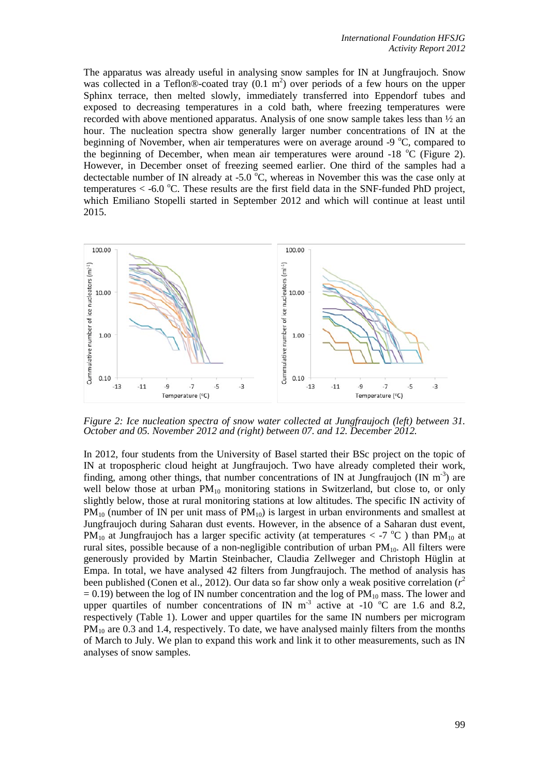The apparatus was already useful in analysing snow samples for IN at Jungfraujoch. Snow was collected in a Teflon®-coated tray  $(0.1 \text{ m}^2)$  over periods of a few hours on the upper Sphinx terrace, then melted slowly, immediately transferred into Eppendorf tubes and exposed to decreasing temperatures in a cold bath, where freezing temperatures were recorded with above mentioned apparatus. Analysis of one snow sample takes less than  $\frac{1}{2}$  an hour. The nucleation spectra show generally larger number concentrations of IN at the beginning of November, when air temperatures were on average around  $-9$  °C, compared to the beginning of December, when mean air temperatures were around  $-18$  °C (Figure 2). However, in December onset of freezing seemed earlier. One third of the samples had a dectectable number of IN already at -5.0  $^{\circ}$ C, whereas in November this was the case only at temperatures  $<$  -6.0 °C. These results are the first field data in the SNF-funded PhD project, which Emiliano Stopelli started in September 2012 and which will continue at least until 2015.



*Figure 2: Ice nucleation spectra of snow water collected at Jungfraujoch (left) between 31. October and 05. November 2012 and (right) between 07. and 12. December 2012.*

In 2012, four students from the University of Basel started their BSc project on the topic of IN at tropospheric cloud height at Jungfraujoch. Two have already completed their work, finding, among other things, that number concentrations of IN at Jungfraujoch (IN  $m^{-3}$ ) are well below those at urban  $PM_{10}$  monitoring stations in Switzerland, but close to, or only slightly below, those at rural monitoring stations at low altitudes. The specific IN activity of  $PM_{10}$  (number of IN per unit mass of  $PM_{10}$ ) is largest in urban environments and smallest at Jungfraujoch during Saharan dust events. However, in the absence of a Saharan dust event, PM<sub>10</sub> at Jungfraujoch has a larger specific activity (at temperatures  $<$  -7 °C) than PM<sub>10</sub> at rural sites, possible because of a non-negligible contribution of urban  $PM_{10}$ . All filters were generously provided by Martin Steinbacher, Claudia Zellweger and Christoph Hüglin at Empa. In total, we have analysed 42 filters from Jungfraujoch. The method of analysis has been published (Conen et al., 2012). Our data so far show only a weak positive correlation (*r* 2  $= 0.19$ ) between the log of IN number concentration and the log of PM<sub>10</sub> mass. The lower and upper quartiles of number concentrations of IN  $m^{-3}$  active at -10 °C are 1.6 and 8.2, respectively (Table 1). Lower and upper quartiles for the same IN numbers per microgram PM<sub>10</sub> are 0.3 and 1.4, respectively. To date, we have analysed mainly filters from the months of March to July. We plan to expand this work and link it to other measurements, such as IN analyses of snow samples.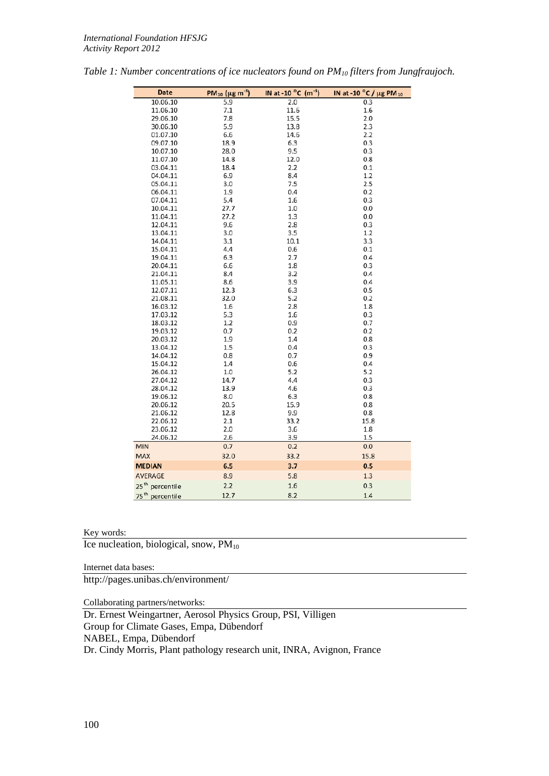| Date                           | PM <sub>10</sub> ( $\mu$ g m <sup>-3</sup> ) | IN at -10 $^{\circ}$ C (m <sup>-3</sup> ) | IN at -10 °C / μg PM 10 |
|--------------------------------|----------------------------------------------|-------------------------------------------|-------------------------|
| 10.06.10                       | 5.9                                          | 2.0                                       | 0.3                     |
| 11.06.10                       | 7.1                                          | 11.6                                      | 1.6                     |
| 29.06.10                       | 7.8                                          | 15.5                                      | 2.0                     |
| 30.06.10                       | 5.9                                          | 13.8                                      | 2.3                     |
| 01.07.10                       | 6.6                                          | 14.6                                      | 2.2                     |
| 09.07.10                       | 18.9                                         | 6.3                                       | 0.3                     |
| 10.07.10                       | 28.0                                         | 9.5                                       | 0.3                     |
| 11.07.10                       | 14.8                                         | 12.0                                      | 0.8                     |
| 03.04.11                       | 18.4                                         | 2.2                                       | 0.1                     |
| 04.04.11                       | 6.9                                          | 8.4                                       | 1.2                     |
| 05.04.11                       | 3.0                                          | 7.5                                       | 2.5                     |
| 06.04.11                       | 1.9                                          | 0.4                                       | 0.2                     |
| 07.04.11                       | 5.4                                          | 1.6                                       | 0.3                     |
| 10.04.11                       | 27.7                                         | 1.0                                       | 0.0                     |
| 11.04.11                       | 27.2                                         | 1.3                                       | 0.0                     |
| 12.04.11                       | 9.6                                          | 2.8                                       | 0.3                     |
| 13.04.11                       | 3.0                                          | 3.5                                       | 1.2                     |
| 14.04.11                       | 3.1                                          | 10.1                                      | 3.3                     |
| 15.04.11                       | 4.4                                          | 0.6                                       | 0.1                     |
| 19.04.11                       | 6.3                                          | 2.7                                       | 0.4                     |
| 20.04.11                       | 6.6                                          | 1.8                                       | 0.3                     |
| 21.04.11                       | 8.4                                          | 3.2                                       | 0.4                     |
| 11.05.11                       | 8.6                                          | 3.9                                       | 0.4                     |
| 12.07.11                       | 12.3                                         | 6.3                                       | 0.5                     |
| 21.08.11                       | 32.0                                         | 5.2                                       | 0.2                     |
| 16.03.12                       | 1.6                                          | 2.8                                       | 1.8                     |
| 17.03.12                       | 5.3                                          | 1.6                                       | 0.3                     |
| 18.03.12                       | 1.2                                          | 0.9                                       | 0.7                     |
| 19.03.12                       | 0.7                                          | 0.2                                       | 0.2                     |
| 20.03.12                       | 1.9                                          | 1.4                                       | 0.8                     |
| 13.04.12                       | 1.5                                          | 0.4                                       | 0.3                     |
| 14.04.12                       | 0.8                                          | 0.7                                       | 0.9                     |
| 15.04.12                       | 1.4                                          | 0.6                                       | 0.4                     |
| 26.04.12                       | 1.0                                          | 5.2                                       | 5.2                     |
| 27.04.12                       | 14.7                                         | 4.4                                       | 0.3                     |
| 28.04.12                       | 13.9                                         | 4.6                                       | 0.3                     |
| 19.06.12                       | 8.0                                          | 6.3                                       | 0.8                     |
| 20.06.12                       | 20.5                                         | 15.9                                      | 0.8                     |
| 21.06.12                       | 12.8                                         | 9.9                                       | 0.8                     |
| 22.06.12                       | 2.1                                          | 33.2                                      | 15.8                    |
| 23.06.12                       | 2.0                                          | 3.6                                       | 1.8                     |
| 24.06.12                       | 2.6                                          | 3.9                                       | 1.5                     |
| <b>MIN</b>                     | 0.7                                          | 0.2                                       | 0.0                     |
| <b>MAX</b>                     | 32.0                                         | 33.2                                      | 15.8                    |
| <b>MEDIAN</b>                  | 6.5                                          | 3.7                                       | 0.5                     |
| <b>AVERAGE</b>                 | 8.9                                          | 5.8                                       | 1.3                     |
| 25 <sup>th</sup><br>percentile | 2.2                                          | 1.6                                       | 0.3                     |
| $75^{th}$<br>percentile        | 12.7                                         | 8.2                                       | 1.4                     |

| Table 1: Number concentrations of ice nucleators found on $PM_{10}$ filters from Jungfraujoch. |  |  |  |
|------------------------------------------------------------------------------------------------|--|--|--|
|------------------------------------------------------------------------------------------------|--|--|--|

## Key words:

Ice nucleation, biological, snow,  $PM_{10}$ 

Internet data bases:

http://pages.unibas.ch/environment/

Collaborating partners/networks:

Dr. Ernest Weingartner, Aerosol Physics Group, PSI, Villigen Group for Climate Gases, Empa, Dübendorf NABEL, Empa, Dübendorf Dr. Cindy Morris, Plant pathology research unit, INRA, Avignon, France